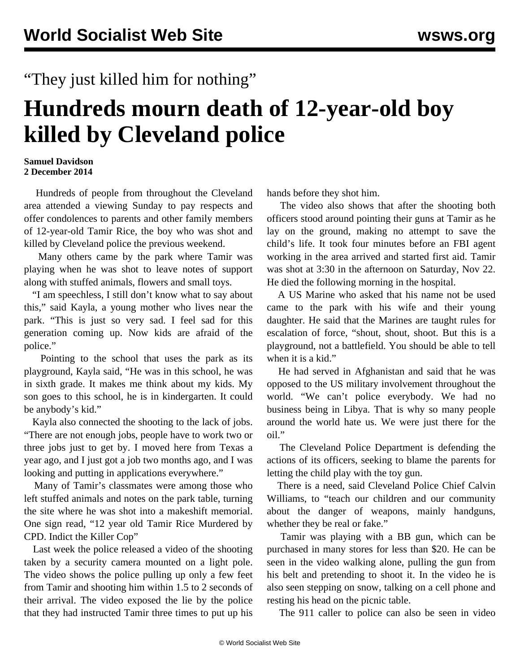## "They just killed him for nothing"

## **Hundreds mourn death of 12-year-old boy killed by Cleveland police**

## **Samuel Davidson 2 December 2014**

 Hundreds of people from throughout the Cleveland area attended a viewing Sunday to pay respects and offer condolences to parents and other family members of 12-year-old Tamir Rice, the boy who was shot and killed by Cleveland police the previous weekend.

 Many others came by the park where Tamir was playing when he was shot to leave notes of support along with stuffed animals, flowers and small toys.

 "I am speechless, I still don't know what to say about this," said Kayla, a young mother who lives near the park. "This is just so very sad. I feel sad for this generation coming up. Now kids are afraid of the police."

 Pointing to the school that uses the park as its playground, Kayla said, "He was in this school, he was in sixth grade. It makes me think about my kids. My son goes to this school, he is in kindergarten. It could be anybody's kid."

 Kayla also connected the shooting to the lack of jobs. "There are not enough jobs, people have to work two or three jobs just to get by. I moved here from Texas a year ago, and I just got a job two months ago, and I was looking and putting in applications everywhere."

 Many of Tamir's classmates were among those who left stuffed animals and notes on the park table, turning the site where he was shot into a makeshift memorial. One sign read, "12 year old Tamir Rice Murdered by CPD. Indict the Killer Cop"

 Last week the police released a video of the shooting taken by a security camera mounted on a light pole. The video shows the police pulling up only a few feet from Tamir and shooting him within 1.5 to 2 seconds of their arrival. The video exposed the lie by the police that they had instructed Tamir three times to put up his

hands before they shot him.

 The video also shows that after the shooting both officers stood around pointing their guns at Tamir as he lay on the ground, making no attempt to save the child's life. It took four minutes before an FBI agent working in the area arrived and started first aid. Tamir was shot at 3:30 in the afternoon on Saturday, Nov 22. He died the following morning in the hospital.

 A US Marine who asked that his name not be used came to the park with his wife and their young daughter. He said that the Marines are taught rules for escalation of force, "shout, shout, shoot. But this is a playground, not a battlefield. You should be able to tell when it is a kid."

 He had served in Afghanistan and said that he was opposed to the US military involvement throughout the world. "We can't police everybody. We had no business being in Libya. That is why so many people around the world hate us. We were just there for the oil."

 The Cleveland Police Department is defending the actions of its officers, seeking to blame the parents for letting the child play with the toy gun.

 There is a need, said Cleveland Police Chief Calvin Williams, to "teach our children and our community about the danger of weapons, mainly handguns, whether they be real or fake."

 Tamir was playing with a BB gun, which can be purchased in many stores for less than \$20. He can be seen in the video walking alone, pulling the gun from his belt and pretending to shoot it. In the video he is also seen stepping on snow, talking on a cell phone and resting his head on the picnic table.

The 911 caller to police can also be seen in video